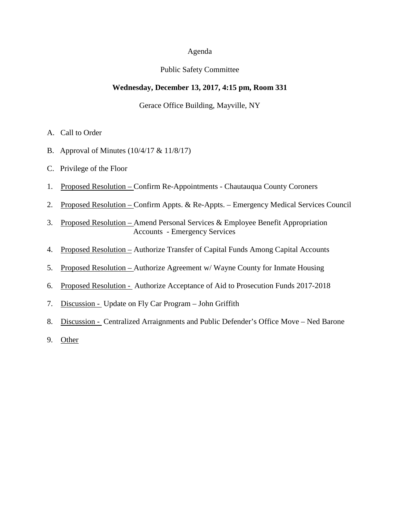### Agenda

### Public Safety Committee

### **Wednesday, December 13, 2017, 4:15 pm, Room 331**

#### Gerace Office Building, Mayville, NY

- A. Call to Order
- B. Approval of Minutes (10/4/17 & 11/8/17)
- C. Privilege of the Floor
- 1. Proposed Resolution Confirm Re-Appointments Chautauqua County Coroners
- 2. Proposed Resolution Confirm Appts. & Re-Appts. Emergency Medical Services Council
- 3. Proposed Resolution Amend Personal Services & Employee Benefit Appropriation Accounts - Emergency Services
- 4. Proposed Resolution Authorize Transfer of Capital Funds Among Capital Accounts
- 5. Proposed Resolution Authorize Agreement w/ Wayne County for Inmate Housing
- 6. Proposed Resolution Authorize Acceptance of Aid to Prosecution Funds 2017-2018
- 7. Discussion Update on Fly Car Program John Griffith
- 8. Discussion Centralized Arraignments and Public Defender's Office Move Ned Barone
- 9. Other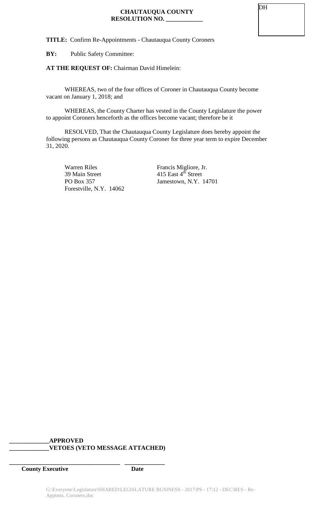**TITLE:** Confirm Re-Appointments - Chautauqua County Coroners

**BY:** Public Safety Committee:

## **AT THE REQUEST OF:** Chairman David Himelein:

WHEREAS, two of the four offices of Coroner in Chautauqua County become vacant on January 1, 2018; and

WHEREAS, the County Charter has vested in the County Legislature the power to appoint Coroners henceforth as the offices become vacant; therefore be it

RESOLVED, That the Chautauqua County Legislature does hereby appoint the following persons as Chautauqua County Coroner for three year term to expire December 31, 2020.

Warren Riles Francis Migliore, Jr.<br>39 Main Street 415 East 4<sup>th</sup> Street 39 Main Street<br>
PO Box 357 Jamestown, N.Y. 1 Forestville, N.Y. 14062

Jamestown, N.Y. 14701

### **\_\_\_\_\_\_\_\_\_\_\_\_\_APPROVED \_\_\_\_\_\_\_\_\_\_\_\_\_VETOES (VETO MESSAGE ATTACHED)**

**\_\_\_\_\_\_\_\_\_\_\_\_\_\_\_\_\_\_\_\_\_\_\_\_\_\_\_\_\_\_\_\_\_\_\_\_ \_\_\_\_\_\_\_\_\_\_\_\_\_**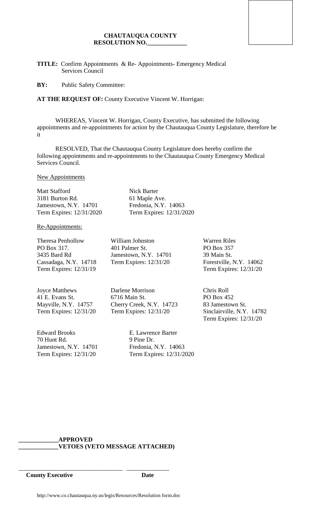### **CHAUTAUQUA COUNTY RESOLUTION NO.\_\_\_\_\_\_\_\_\_\_\_\_\_**

**TITLE:** Confirm Appointments & Re- Appointments- Emergency Medical Services Council

**BY:** Public Safety Committee:

**AT THE REQUEST OF:** County Executive Vincent W. Horrigan:

WHEREAS, Vincent W. Horrigan, County Executive, has submitted the following appointments and re-appointments for action by the Chautauqua County Legislature, therefore be it

RESOLVED, That the Chautauqua County Legislature does hereby confirm the following appointments and re-appointments to the Chautauqua County Emergency Medical Services Council.

New Appointments

Matt Stafford Nick Barter 3181 Burton Rd. 61 Maple Ave. Jamestown, N.Y. 14701 Fredonia, N.Y. 14063 Term Expires: 12/31/2020 Term Expires: 12/31/2020

Re-Appointments:

Theresa Penhollow William Johnston Warren Riles Term Expires: 12/31/19 Term Expires: 12/31/20

Joyce Matthews Darlene Morrison Chris Roll

Edward Brooks E. Lawrence Barter 70 Hunt Rd. 9 Pine Dr. Jamestown, N.Y. 14701 Fredonia, N.Y. 14063

PO Box 317. 401 Palmer St. PO Box 357 3435 Bard Rd Jamestown, N.Y. 14701 39 Main St. Cassadaga, N.Y. 14718 Term Expires: 12/31/20 Forestville, N.Y. 14062

41 E. Evans St. 6716 Main St. PO Box 452 Mayville, N.Y. 14757 Cherry Creek, N.Y. 14723 83 Jamestown St.

Term Expires: 12/31/20 Term Expires: 12/31/2020

Term Expires: 12/31/20 Term Expires: 12/31/20 Sinclairville, N.Y. 14782 Term Expires: 12/31/20

### **\_\_\_\_\_\_\_\_\_\_\_\_\_APPROVED \_\_\_\_\_\_\_\_\_\_\_\_\_VETOES (VETO MESSAGE ATTACHED)**

\_\_\_\_\_\_\_\_\_\_\_\_\_\_\_\_\_\_\_\_\_\_\_\_\_\_\_\_\_\_\_\_\_\_ \_\_\_\_\_\_\_\_\_\_\_\_\_\_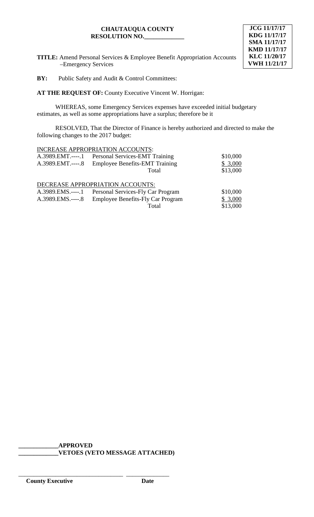# **CHAUTAUQUA COUNTY RESOLUTION NO.\_\_\_\_\_\_\_\_\_\_\_\_\_**



**TITLE:** Amend Personal Services & Employee Benefit Appropriation Accounts –Emergency Services

**BY:** Public Safety and Audit & Control Committees:

**AT THE REQUEST OF:** County Executive Vincent W. Horrigan:

WHEREAS, some Emergency Services expenses have exceeded initial budgetary estimates, as well as some appropriations have a surplus; therefore be it

RESOLVED, That the Director of Finance is hereby authorized and directed to make the following changes to the 2017 budget:

|                   | INCREASE APPROPRIATION ACCOUNTS:         |          |
|-------------------|------------------------------------------|----------|
| $A.3989.EMT.---1$ | Personal Services-EMT Training           | \$10,000 |
| A.3989.EMT.----.8 | <b>Employee Benefits-EMT Training</b>    | \$3,000  |
|                   | Total                                    | \$13,000 |
|                   | DECREASE APPROPRIATION ACCOUNTS:         |          |
| $A.3989.EMS.---1$ | Personal Services-Fly Car Program        | \$10,000 |
| A.3989.EMS.----.8 | <b>Employee Benefits-Fly Car Program</b> | \$3,000  |
|                   | Total                                    | \$13,000 |

**\_\_\_\_\_\_\_\_\_\_\_\_\_APPROVED \_\_\_\_\_\_\_\_\_\_\_\_\_VETOES (VETO MESSAGE ATTACHED)**

\_\_\_\_\_\_\_\_\_\_\_\_\_\_\_\_\_\_\_\_\_\_\_\_\_\_\_\_\_\_\_\_\_\_ \_\_\_\_\_\_\_\_\_\_\_\_\_\_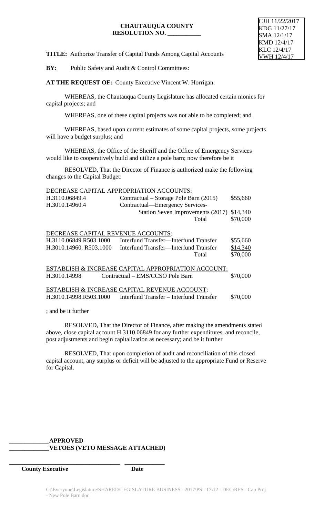### **CHAUTAUQUA COUNTY RESOLUTION NO. \_\_\_\_\_\_\_\_\_\_\_**

**TITLE:** Authorize Transfer of Capital Funds Among Capital Accounts

**BY:** Public Safety and Audit & Control Committees:

**AT THE REQUEST OF:** County Executive Vincent W. Horrigan:

WHEREAS, the Chautauqua County Legislature has allocated certain monies for capital projects; and

WHEREAS, one of these capital projects was not able to be completed; and

WHEREAS, based upon current estimates of some capital projects, some projects will have a budget surplus; and

WHEREAS, the Office of the Sheriff and the Office of Emergency Services would like to cooperatively build and utilize a pole barn; now therefore be it

RESOLVED, That the Director of Finance is authorized make the following changes to the Capital Budget:

|                                                     | DECREASE CAPITAL APPROPRIATION ACCOUNTS: |          |  |  |
|-----------------------------------------------------|------------------------------------------|----------|--|--|
| H.3110.06849.4                                      | Contractual – Storage Pole Barn (2015)   | \$55,660 |  |  |
| H.3010.14960.4                                      | Contractual—Emergency Services-          |          |  |  |
|                                                     | Station Seven Improvements (2017)        | \$14,340 |  |  |
|                                                     | Total                                    | \$70,000 |  |  |
|                                                     |                                          |          |  |  |
| DECREASE CAPITAL REVENUE ACCOUNTS:                  |                                          |          |  |  |
| H.3110.06849.R503.1000                              | Interfund Transfer—Interfund Transfer    | \$55,660 |  |  |
| H.3010.14960. R503.1000                             | Interfund Transfer—Interfund Transfer    | \$14,340 |  |  |
|                                                     | Total                                    | \$70,000 |  |  |
|                                                     |                                          |          |  |  |
| ESTABLISH & INCREASE CAPITAL APPROPRIATION ACCOUNT: |                                          |          |  |  |
| H.3010.14998                                        | Contractual - EMS/CCSO Pole Barn         | \$70,000 |  |  |
|                                                     |                                          |          |  |  |
| ESTABLISH & INCREASE CAPITAL REVENUE ACCOUNT:       |                                          |          |  |  |
| H.3010.14998.R503.1000                              | Interfund Transfer – Interfund Transfer  | \$70,000 |  |  |
|                                                     |                                          |          |  |  |

; and be it further

RESOLVED, That the Director of Finance, after making the amendments stated above, close capital account H.3110.06849 for any further expenditures, and reconcile, post adjustments and begin capitalization as necessary; and be it further

RESOLVED, That upon completion of audit and reconciliation of this closed capital account, any surplus or deficit will be adjusted to the appropriate Fund or Reserve for Capital.

## **\_\_\_\_\_\_\_\_\_\_\_\_\_APPROVED \_\_\_\_\_\_\_\_\_\_\_\_\_VETOES (VETO MESSAGE ATTACHED)**

**\_\_\_\_\_\_\_\_\_\_\_\_\_\_\_\_\_\_\_\_\_\_\_\_\_\_\_\_\_\_\_\_\_\_\_\_ \_\_\_\_\_\_\_\_\_\_\_\_\_**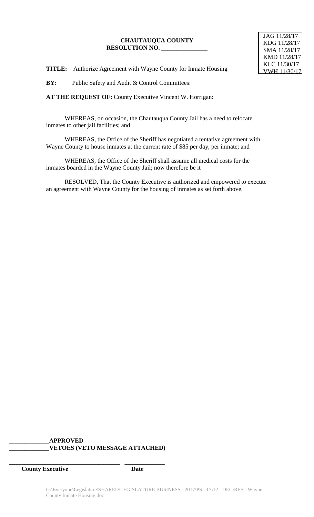## **CHAUTAUQUA COUNTY RESOLUTION NO. \_\_\_\_\_\_\_\_\_\_\_\_\_\_\_**

 JAG 11/28/17 KDG 11/28/17 SMA 11/28/17 KMD 11/28/17 KLC 11/30/17 VWH 11/30/17

**TITLE:** Authorize Agreement with Wayne County for Inmate Housing

**BY:** Public Safety and Audit & Control Committees:

**AT THE REQUEST OF:** County Executive Vincent W. Horrigan:

WHEREAS, on occasion, the Chautauqua County Jail has a need to relocate inmates to other jail facilities; and

WHEREAS, the Office of the Sheriff has negotiated a tentative agreement with Wayne County to house inmates at the current rate of \$85 per day, per inmate; and

WHEREAS, the Office of the Sheriff shall assume all medical costs for the inmates boarded in the Wayne County Jail; now therefore be it

RESOLVED, That the County Executive is authorized and empowered to execute an agreement with Wayne County for the housing of inmates as set forth above.

### **\_\_\_\_\_\_\_\_\_\_\_\_\_APPROVED \_\_\_\_\_\_\_\_\_\_\_\_\_VETOES (VETO MESSAGE ATTACHED)**

**\_\_\_\_\_\_\_\_\_\_\_\_\_\_\_\_\_\_\_\_\_\_\_\_\_\_\_\_\_\_\_\_\_\_\_\_ \_\_\_\_\_\_\_\_\_\_\_\_\_**